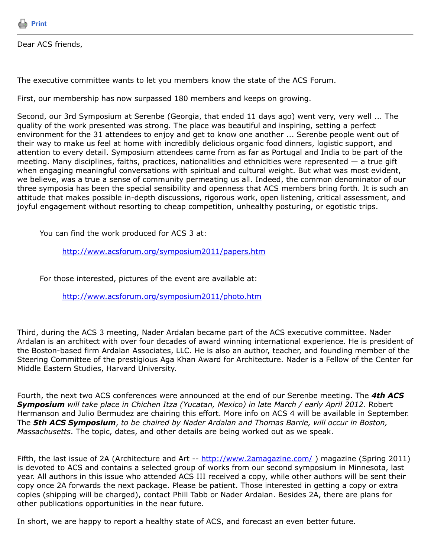

Dear ACS friends,

The executive committee wants to let you members know the state of the ACS Forum.

First, our membership has now surpassed 180 members and keeps on growing.

Second, our 3rd Symposium at Serenbe (Georgia, that ended 11 days ago) went very, very well ... The quality of the work presented was strong. The place was beautiful and inspiring, setting a perfect environment for the 31 attendees to enjoy and get to know one another ... Serenbe people went out of their way to make us feel at home with incredibly delicious organic food dinners, logistic support, and attention to every detail. Symposium attendees came from as far as Portugal and India to be part of the meeting. Many disciplines, faiths, practices, nationalities and ethnicities were represented — a true gift when engaging meaningful conversations with spiritual and cultural weight. But what was most evident, we believe, was a true a sense of community permeating us all. Indeed, the common denominator of our three symposia has been the special sensibility and openness that ACS members bring forth. It is such an attitude that makes possible in-depth discussions, rigorous work, open listening, critical assessment, and joyful engagement without resorting to cheap competition, unhealthy posturing, or egotistic trips.

You can find the work produced for ACS 3 at:

<http://www.acsforum.org/symposium2011/papers.htm>

For those interested, pictures of the event are available at:

<http://www.acsforum.org/symposium2011/photo.htm>

Third, during the ACS 3 meeting, Nader Ardalan became part of the ACS executive committee. Nader Ardalan is an architect with over four decades of award winning international experience. He is president of the Boston-based firm Ardalan Associates, LLC. He is also an author, teacher, and founding member of the Steering Committee of the prestigious Aga Khan Award for Architecture. Nader is a Fellow of the Center for Middle Eastern Studies, Harvard University.

Fourth, the next two ACS conferences were announced at the end of our Serenbe meeting. The *4th ACS Symposium will take place in Chichen Itza (Yucatan, Mexico) in late March / early April 2012*. Robert Hermanson and Julio Bermudez are chairing this effort. More info on ACS 4 will be available in September. The *5th ACS Symposium*, *to be chaired by Nader Ardalan and Thomas Barrie, will occur in Boston, Massachusetts*. The topic, dates, and other details are being worked out as we speak.

Fifth, the last issue of 2A (Architecture and Art -- http://www.2amagazine.com/) magazine (Spring 2011) is devoted to ACS and contains a selected group of works from our second symposium in Minnesota, last year. All authors in this issue who attended ACS III received a copy, while other authors will be sent their copy once 2A forwards the next package. Please be patient. Those interested in getting a copy or extra copies (shipping will be charged), contact Phill Tabb or Nader Ardalan. Besides 2A, there are plans for other publications opportunities in the near future.

In short, we are happy to report a healthy state of ACS, and forecast an even better future.